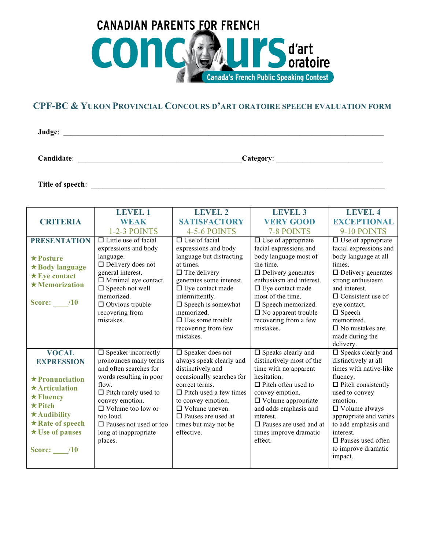

## **CPF-BC & YUKON PROVINCIAL CONCOURS D'ART ORATOIRE SPEECH EVALUATION FORM**

**Judge**: \_\_\_\_\_\_\_\_\_\_\_\_\_\_\_\_\_\_\_\_\_\_\_\_\_\_\_\_\_\_\_\_\_\_\_\_\_\_\_\_\_\_\_\_\_\_\_\_\_\_\_\_\_\_\_\_\_\_\_\_\_\_\_\_\_\_\_\_\_\_\_\_\_\_\_\_\_\_\_\_\_\_\_\_

**Candidate**: \_\_\_\_\_\_\_\_\_\_\_\_\_\_\_\_\_\_\_\_\_\_\_\_\_\_\_\_\_\_\_\_\_\_\_\_\_\_\_\_\_\_\_**Category**: \_\_\_\_\_\_\_\_\_\_\_\_\_\_\_\_\_\_\_\_\_\_\_\_\_\_\_\_

**Title of speech**: \_\_\_\_\_\_\_\_\_\_\_\_\_\_\_\_\_\_\_\_\_\_\_\_\_\_\_\_\_\_\_\_\_\_\_\_\_\_\_\_\_\_\_\_\_\_\_\_\_\_\_\_\_\_\_\_\_\_\_\_\_\_\_\_\_\_\_\_\_\_\_\_\_\_\_\_\_

|                                                                                                                                                                                                                      | LEVEL 1                                                                                                                                                                                                                                                                                 | <b>LEVEL 2</b>                                                                                                                                                                                                                                                                                      | <b>LEVEL 3</b>                                                                                                                                                                                                                                                                                           | <b>LEVEL 4</b>                                                                                                                                                                                                                                                                                                         |
|----------------------------------------------------------------------------------------------------------------------------------------------------------------------------------------------------------------------|-----------------------------------------------------------------------------------------------------------------------------------------------------------------------------------------------------------------------------------------------------------------------------------------|-----------------------------------------------------------------------------------------------------------------------------------------------------------------------------------------------------------------------------------------------------------------------------------------------------|----------------------------------------------------------------------------------------------------------------------------------------------------------------------------------------------------------------------------------------------------------------------------------------------------------|------------------------------------------------------------------------------------------------------------------------------------------------------------------------------------------------------------------------------------------------------------------------------------------------------------------------|
| <b>CRITERIA</b>                                                                                                                                                                                                      | <b>WEAK</b>                                                                                                                                                                                                                                                                             | <b>SATISFACTORY</b>                                                                                                                                                                                                                                                                                 | <b>VERY GOOD</b>                                                                                                                                                                                                                                                                                         | <b>EXCEPTIONAL</b>                                                                                                                                                                                                                                                                                                     |
|                                                                                                                                                                                                                      | 1-2-3 POINTS                                                                                                                                                                                                                                                                            | 4-5-6 POINTS                                                                                                                                                                                                                                                                                        | 7-8 POINTS                                                                                                                                                                                                                                                                                               | 9-10 POINTS                                                                                                                                                                                                                                                                                                            |
| <b>PRESENTATION</b><br>$\bigstar$ Posture<br>$\star$ Body language<br>$\star$ Eye contact<br>$\star$ Memorization<br><b>Score:</b> /10                                                                               | $\Box$ Little use of facial<br>expressions and body<br>language.<br>$\Box$ Delivery does not<br>general interest.<br>$\Box$ Minimal eye contact.<br>$\square$ Speech not well<br>memorized.<br>$\Box$ Obvious trouble<br>recovering from<br>mistakes.                                   | $\Box$ Use of facial<br>expressions and body<br>language but distracting<br>at times.<br>$\Box$ The delivery<br>generates some interest.<br>$\Box$ Eye contact made<br>intermittently.<br>$\square$ Speech is somewhat<br>memorized.<br>$\Box$ Has some trouble<br>recovering from few<br>mistakes. | $\Box$ Use of appropriate<br>facial expressions and<br>body language most of<br>the time.<br>$\Box$ Delivery generates<br>enthusiasm and interest.<br>$\Box$ Eye contact made<br>most of the time.<br>$\square$ Speech memorized.<br>$\square$ No apparent trouble<br>recovering from a few<br>mistakes. | $\Box$ Use of appropriate<br>facial expressions and<br>body language at all<br>times.<br>$\Box$ Delivery generates<br>strong enthusiasm<br>and interest.<br>$\Box$ Consistent use of<br>eve contact.<br>$\square$ Speech<br>memorized.<br>$\Box$ No mistakes are<br>made during the                                    |
| <b>VOCAL</b><br><b>EXPRESSION</b><br>$\star$ Pronunciation<br>$\star$ Articulation<br>$\star$ Fluency<br>$\star$ Pitch<br>$\star$ Audibility<br>$\star$ Rate of speech<br>$\star$ Use of pauses<br><b>Score:</b> /10 | $\square$ Speaker incorrectly<br>pronounces many terms<br>and often searches for<br>words resulting in poor<br>flow.<br>$\Box$ Pitch rarely used to<br>convey emotion.<br>$\Box$ Volume too low or<br>too loud.<br>$\square$ Pauses not used or too<br>long at inappropriate<br>places. | $\square$ Speaker does not<br>always speak clearly and<br>distinctively and<br>occasionally searches for<br>correct terms.<br>$\Box$ Pitch used a few times<br>to convey emotion.<br>$\Box$ Volume uneven.<br>$\Box$ Pauses are used at<br>times but may not be<br>effective.                       | $\square$ Speaks clearly and<br>distinctively most of the<br>time with no apparent<br>hesitation.<br>$\Box$ Pitch often used to<br>convey emotion.<br>$\Box$ Volume appropriate<br>and adds emphasis and<br>interest.<br>$\Box$ Pauses are used and at<br>times improve dramatic<br>effect.              | delivery.<br>$\square$ Speaks clearly and<br>distinctively at all<br>times with native-like<br>fluency.<br>$\Box$ Pitch consistently<br>used to convey<br>emotion.<br>$\Box$ Volume always<br>appropriate and varies<br>to add emphasis and<br>interest.<br>$\Box$ Pauses used often<br>to improve dramatic<br>impact. |